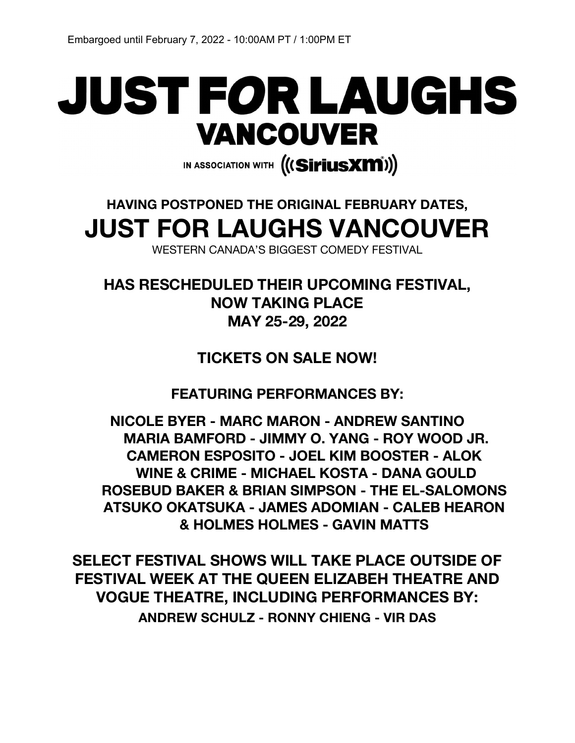# JUST FOR LAUGHS **VANCOUVER**

IN ASSOCIATION WITH (((SiriusX**m**i))

# **HAVING POSTPONED THE ORIGINAL FEBRUARY DATES, JUST FOR LAUGHS VANCOUVER**

WESTERN CANADA'S BIGGEST COMEDY FESTIVAL

**HAS RESCHEDULED THEIR UPCOMING FESTIVAL, NOW TAKING PLACE MAY 25-29, 2022**

**TICKETS ON SALE NOW!**

**FEATURING PERFORMANCES BY:** 

**NICOLE BYER - MARC MARON - ANDREW SANTINO MARIA BAMFORD - JIMMY O. YANG - ROY WOOD JR. CAMERON ESPOSITO - JOEL KIM BOOSTER - ALOK WINE & CRIME - MICHAEL KOSTA - DANA GOULD ROSEBUD BAKER & BRIAN SIMPSON - THE EL-SALOMONS ATSUKO OKATSUKA - JAMES ADOMIAN - CALEB HEARON & HOLMES HOLMES - GAVIN MATTS**

**SELECT FESTIVAL SHOWS WILL TAKE PLACE OUTSIDE OF FESTIVAL WEEK AT THE QUEEN ELIZABEH THEATRE AND VOGUE THEATRE, INCLUDING PERFORMANCES BY: ANDREW SCHULZ - RONNY CHIENG - VIR DAS**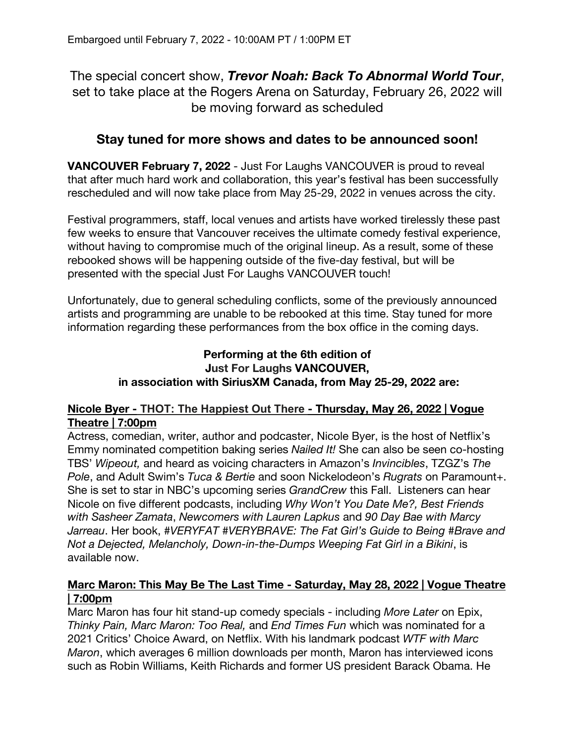The special concert show, *Trevor Noah: Back To Abnormal World Tour*, set to take place at the Rogers Arena on Saturday, February 26, 2022 will be moving forward as scheduled

# **Stay tuned for more shows and dates to be announced soon!**

**VANCOUVER February 7, 2022** - Just For Laughs VANCOUVER is proud to reveal that after much hard work and collaboration, this year's festival has been successfully rescheduled and will now take place from May 25-29, 2022 in venues across the city.

Festival programmers, staff, local venues and artists have worked tirelessly these past few weeks to ensure that Vancouver receives the ultimate comedy festival experience, without having to compromise much of the original lineup. As a result, some of these rebooked shows will be happening outside of the five-day festival, but will be presented with the special Just For Laughs VANCOUVER touch!

Unfortunately, due to general scheduling conflicts, some of the previously announced artists and programming are unable to be rebooked at this time. Stay tuned for more information regarding these performances from the box office in the coming days.

# **Performing at the 6th edition of Just For Laughs VANCOUVER, in association with SiriusXM Canada, from May 25-29, 2022 are:**

#### **Nicole Byer - THOT: The Happiest Out There - Thursday, May 26, 2022 | Vogue Theatre | 7:00pm**

Actress, comedian, writer, author and podcaster, Nicole Byer, is the host of Netflix's Emmy nominated competition baking series *Nailed It!* She can also be seen co-hosting TBS' *Wipeout,* and heard as voicing characters in Amazon's *Invincibles*, TZGZ's *The Pole*, and Adult Swim's *Tuca & Bertie* and soon Nickelodeon's *Rugrats* on Paramount+. She is set to star in NBC's upcoming series *GrandCrew* this Fall. Listeners can hear Nicole on five different podcasts, including *Why Won't You Date Me?, Best Friends with Sasheer Zamata*, *Newcomers with Lauren Lapkus* and *90 Day Bae with Marcy Jarreau*. Her book, *#VERYFAT #VERYBRAVE: The Fat Girl's Guide to Being #Brave and Not a Dejected, Melancholy, Down-in-the-Dumps Weeping Fat Girl in a Bikini*, is available now.

# **Marc Maron: This May Be The Last Time - Saturday, May 28, 2022 | Vogue Theatre | 7:00pm**

Marc Maron has four hit stand-up comedy specials - including *More Later* on Epix, *Thinky Pain, Marc Maron: Too Real,* and *End Times Fun* which was nominated for a 2021 Critics' Choice Award, on Netflix. With his landmark podcast *WTF with Marc Maron*, which averages 6 million downloads per month, Maron has interviewed icons such as Robin Williams, Keith Richards and former US president Barack Obama. He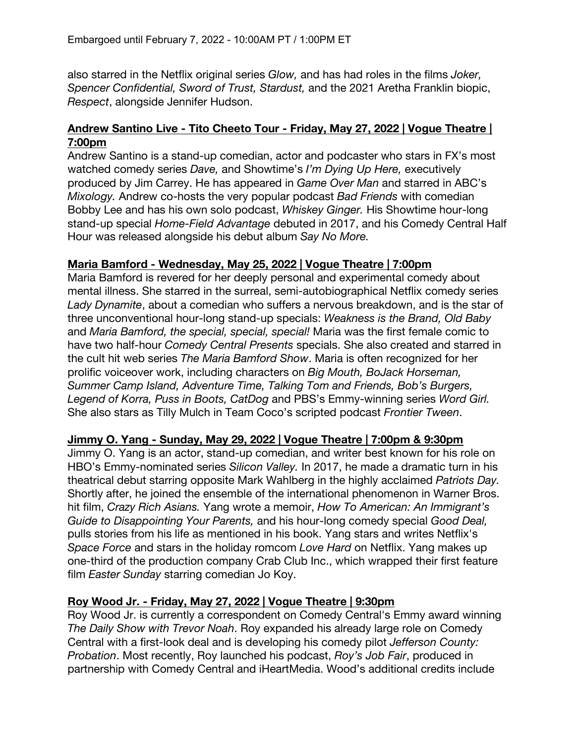also starred in the Netflix original series *Glow,* and has had roles in the films *Joker, Spencer Confidential, Sword of Trust, Stardust,* and the 2021 Aretha Franklin biopic, *Respect*, alongside Jennifer Hudson.

# **Andrew Santino Live - Tito Cheeto Tour - Friday, May 27, 2022 | Vogue Theatre | 7:00pm**

Andrew Santino is a stand-up comedian, actor and podcaster who stars in FX's most watched comedy series *Dave,* and Showtime's *I'm Dying Up Here,* executively produced by Jim Carrey. He has appeared in *Game Over Man* and starred in ABC's *Mixology.* Andrew co-hosts the very popular podcast *Bad Friends* with comedian Bobby Lee and has his own solo podcast, *Whiskey Ginger.* His Showtime hour-long stand-up special *Home-Field Advantage* debuted in 2017, and his Comedy Central Half Hour was released alongside his debut album *Say No More.*

#### **Maria Bamford - Wednesday, May 25, 2022 | Vogue Theatre | 7:00pm**

Maria Bamford is revered for her deeply personal and experimental comedy about mental illness. She starred in the surreal, semi-autobiographical Netflix comedy series *Lady Dynamite*, about a comedian who suffers a nervous breakdown, and is the star of three unconventional hour-long stand-up specials: *Weakness is the Brand, Old Baby* and *Maria Bamford, the special, special, special!* Maria was the first female comic to have two half-hour *Comedy Central Presents* specials. She also created and starred in the cult hit web series *The Maria Bamford Show*. Maria is often recognized for her prolific voiceover work, including characters on *Big Mouth, BoJack Horseman, Summer Camp Island, Adventure Time, Talking Tom and Friends, Bob's Burgers, Legend of Korra, Puss in Boots, CatDog* and PBS's Emmy-winning series *Word Girl.* She also stars as Tilly Mulch in Team Coco's scripted podcast *Frontier Tween*.

# **Jimmy O. Yang - Sunday, May 29, 2022 | Vogue Theatre | 7:00pm & 9:30pm**

Jimmy O. Yang is an actor, stand-up comedian, and writer best known for his role on HBO's Emmy-nominated series *Silicon Valley.* In 2017, he made a dramatic turn in his theatrical debut starring opposite Mark Wahlberg in the highly acclaimed *Patriots Day.*  Shortly after, he joined the ensemble of the international phenomenon in Warner Bros. hit film, *Crazy Rich Asians.* Yang wrote a memoir, *How To American: An Immigrant's Guide to Disappointing Your Parents,* and his hour-long comedy special *Good Deal,* pulls stories from his life as mentioned in his book. Yang stars and writes Netflix's *Space Force* and stars in the holiday romcom *Love Hard* on Netflix. Yang makes up one-third of the production company Crab Club Inc., which wrapped their first feature film *Easter Sunday* starring comedian Jo Koy.

# **Roy Wood Jr. - Friday, May 27, 2022 | Vogue Theatre | 9:30pm**

Roy Wood Jr. is currently a correspondent on Comedy Central's Emmy award winning *The Daily Show with Trevor Noah*. Roy expanded his already large role on Comedy Central with a first-look deal and is developing his comedy pilot *Jefferson County: Probation*. Most recently, Roy launched his podcast, *Roy's Job Fair*, produced in partnership with Comedy Central and iHeartMedia. Wood's additional credits include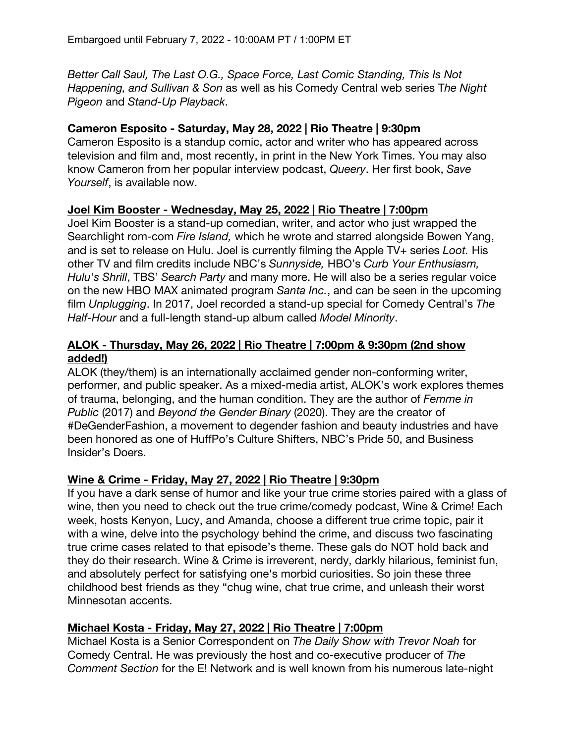*Better Call Saul, The Last O.G., Space Force, Last Comic Standing, This Is Not Happening, and Sullivan & Son* as well as his Comedy Central web series T*he Night Pigeon* and *Stand-Up Playback*.

#### **Cameron Esposito - Saturday, May 28, 2022 | Rio Theatre | 9:30pm**

Cameron Esposito is a standup comic, actor and writer who has appeared across television and film and, most recently, in print in the New York Times. You may also know Cameron from her popular interview podcast, *Queery*. Her first book, *Save Yourself*, is available now.

#### **Joel Kim Booster - Wednesday, May 25, 2022 | Rio Theatre | 7:00pm**

Joel Kim Booster is a stand-up comedian, writer, and actor who just wrapped the Searchlight rom-com *Fire Island,* which he wrote and starred alongside Bowen Yang, and is set to release on Hulu. Joel is currently filming the Apple TV+ series *Loot.* His other TV and film credits include NBC's *Sunnyside,* HBO's *Curb Your Enthusiasm, Hulu's Shrill*, TBS' *Search Party* and many more. He will also be a series regular voice on the new HBO MAX animated program *Santa Inc.*, and can be seen in the upcoming film *Unplugging*. In 2017, Joel recorded a stand-up special for Comedy Central's *The Half-Hour* and a full-length stand-up album called *Model Minority*.

# **ALOK - Thursday, May 26, 2022 | Rio Theatre | 7:00pm & 9:30pm (2nd show added!)**

ALOK (they/them) is an internationally acclaimed gender non-conforming writer, performer, and public speaker. As a mixed-media artist, ALOK's work explores themes of trauma, belonging, and the human condition. They are the author of *Femme in Public* (2017) and *Beyond the Gender Binary* (2020). They are the creator of #DeGenderFashion, a movement to degender fashion and beauty industries and have been honored as one of HuffPo's Culture Shifters, NBC's Pride 50, and Business Insider's Doers.

#### **Wine & Crime - Friday, May 27, 2022 | Rio Theatre | 9:30pm**

If you have a dark sense of humor and like your true crime stories paired with a glass of wine, then you need to check out the true crime/comedy podcast, Wine & Crime! Each week, hosts Kenyon, Lucy, and Amanda, choose a different true crime topic, pair it with a wine, delve into the psychology behind the crime, and discuss two fascinating true crime cases related to that episode's theme. These gals do NOT hold back and they do their research. Wine & Crime is irreverent, nerdy, darkly hilarious, feminist fun, and absolutely perfect for satisfying one's morbid curiosities. So join these three childhood best friends as they "chug wine, chat true crime, and unleash their worst Minnesotan accents.

#### **Michael Kosta - Friday, May 27, 2022 | Rio Theatre | 7:00pm**

Michael Kosta is a Senior Correspondent on *The Daily Show with Trevor Noah* for Comedy Central. He was previously the host and co-executive producer of *The Comment Section* for the E! Network and is well known from his numerous late-night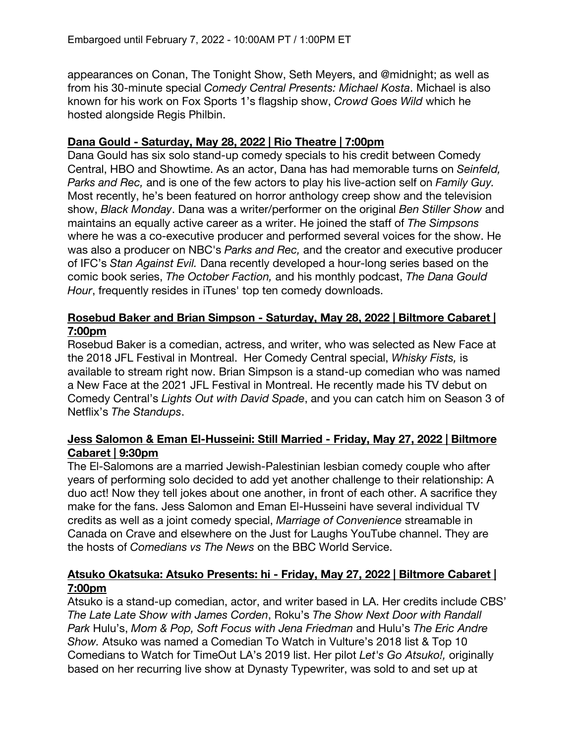appearances on Conan, The Tonight Show, Seth Meyers, and @midnight; as well as from his 30-minute special *Comedy Central Presents: Michael Kosta*. Michael is also known for his work on Fox Sports 1's flagship show, *Crowd Goes Wild* which he hosted alongside Regis Philbin.

#### **Dana Gould - Saturday, May 28, 2022 | Rio Theatre | 7:00pm**

Dana Gould has six solo stand-up comedy specials to his credit between Comedy Central, HBO and Showtime. As an actor, Dana has had memorable turns on *Seinfeld, Parks and Rec,* and is one of the few actors to play his live-action self on *Family Guy.*  Most recently, he's been featured on horror anthology creep show and the television show, *Black Monday*. Dana was a writer/performer on the original *Ben Stiller Show* and maintains an equally active career as a writer. He joined the staff of *The Simpsons*  where he was a co-executive producer and performed several voices for the show. He was also a producer on NBC's *Parks and Rec,* and the creator and executive producer of IFC's *Stan Against Evil.* Dana recently developed a hour-long series based on the comic book series, *The October Faction,* and his monthly podcast, *The Dana Gould Hour*, frequently resides in iTunes' top ten comedy downloads.

#### **Rosebud Baker and Brian Simpson - Saturday, May 28, 2022 | Biltmore Cabaret | 7:00pm**

Rosebud Baker is a comedian, actress, and writer, who was selected as New Face at the 2018 JFL Festival in Montreal. Her Comedy Central special, *Whisky Fists,* is available to stream right now. Brian Simpson is a stand-up comedian who was named a New Face at the 2021 JFL Festival in Montreal. He recently made his TV debut on Comedy Central's *Lights Out with David Spade*, and you can catch him on Season 3 of Netflix's *The Standups*.

#### **Jess Salomon & Eman El-Husseini: Still Married - Friday, May 27, 2022 | Biltmore Cabaret | 9:30pm**

The El-Salomons are a married Jewish-Palestinian lesbian comedy couple who after years of performing solo decided to add yet another challenge to their relationship: A duo act! Now they tell jokes about one another, in front of each other. A sacrifice they make for the fans. Jess Salomon and Eman El-Husseini have several individual TV credits as well as a joint comedy special, *Marriage of Convenience* streamable in Canada on Crave and elsewhere on the Just for Laughs YouTube channel. They are the hosts of *Comedians vs The News* on the BBC World Service.

# **Atsuko Okatsuka: Atsuko Presents: hi - Friday, May 27, 2022 | Biltmore Cabaret | 7:00pm**

Atsuko is a stand-up comedian, actor, and writer based in LA. Her credits include CBS' *The Late Late Show with James Corden*, Roku's *The Show Next Door with Randall Park* Hulu's, *Mom & Pop, Soft Focus with Jena Friedman* and Hulu's *The Eric Andre Show.* Atsuko was named a Comedian To Watch in Vulture's 2018 list & Top 10 Comedians to Watch for TimeOut LA's 2019 list. Her pilot *Let's Go Atsuko!,* originally based on her recurring live show at Dynasty Typewriter, was sold to and set up at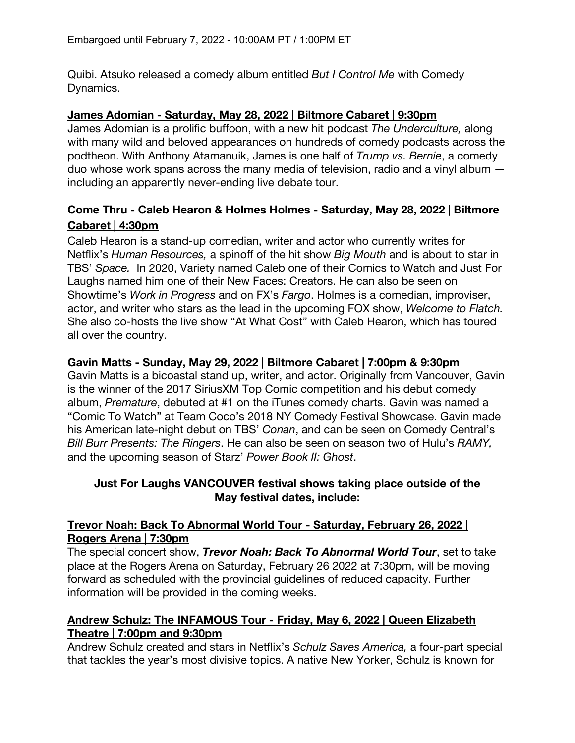Quibi. Atsuko released a comedy album entitled *But I Control Me* with Comedy Dynamics.

#### **James Adomian - Saturday, May 28, 2022 | Biltmore Cabaret | 9:30pm**

James Adomian is a prolific buffoon, with a new hit podcast *The Underculture,* along with many wild and beloved appearances on hundreds of comedy podcasts across the podtheon. With Anthony Atamanuik, James is one half of *Trump vs. Bernie*, a comedy duo whose work spans across the many media of television, radio and a vinyl album including an apparently never-ending live debate tour.

# **Come Thru - Caleb Hearon & Holmes Holmes - Saturday, May 28, 2022 | Biltmore Cabaret | 4:30pm**

Caleb Hearon is a stand-up comedian, writer and actor who currently writes for Netflix's *Human Resources,* a spinoff of the hit show *Big Mouth* and is about to star in TBS' *Space.* In 2020, Variety named Caleb one of their Comics to Watch and Just For Laughs named him one of their New Faces: Creators. He can also be seen on Showtime's *Work in Progress* and on FX's *Fargo*. Holmes is a comedian, improviser, actor, and writer who stars as the lead in the upcoming FOX show, *Welcome to Flatch.*  She also co-hosts the live show "At What Cost" with Caleb Hearon, which has toured all over the country.

# **Gavin Matts - Sunday, May 29, 2022 | Biltmore Cabaret | 7:00pm & 9:30pm**

Gavin Matts is a bicoastal stand up, writer, and actor. Originally from Vancouver, Gavin is the winner of the 2017 SiriusXM Top Comic competition and his debut comedy album, *Premature*, debuted at #1 on the iTunes comedy charts. Gavin was named a "Comic To Watch" at Team Coco's 2018 NY Comedy Festival Showcase. Gavin made his American late-night debut on TBS' *Conan*, and can be seen on Comedy Central's *Bill Burr Presents: The Ringers*. He can also be seen on season two of Hulu's *RAMY,*  and the upcoming season of Starz' *Power Book II: Ghost*.

#### **Just For Laughs VANCOUVER festival shows taking place outside of the May festival dates, include:**

# **Trevor Noah: Back To Abnormal World Tour - Saturday, February 26, 2022 | Rogers Arena | 7:30pm**

The special concert show, *Trevor Noah: Back To Abnormal World Tour*, set to take place at the Rogers Arena on Saturday, February 26 2022 at 7:30pm, will be moving forward as scheduled with the provincial guidelines of reduced capacity. Further information will be provided in the coming weeks.

# **Andrew Schulz: The INFAMOUS Tour - Friday, May 6, 2022 | Queen Elizabeth Theatre | 7:00pm and 9:30pm**

Andrew Schulz created and stars in Netflix's *Schulz Saves America,* a four-part special that tackles the year's most divisive topics. A native New Yorker, Schulz is known for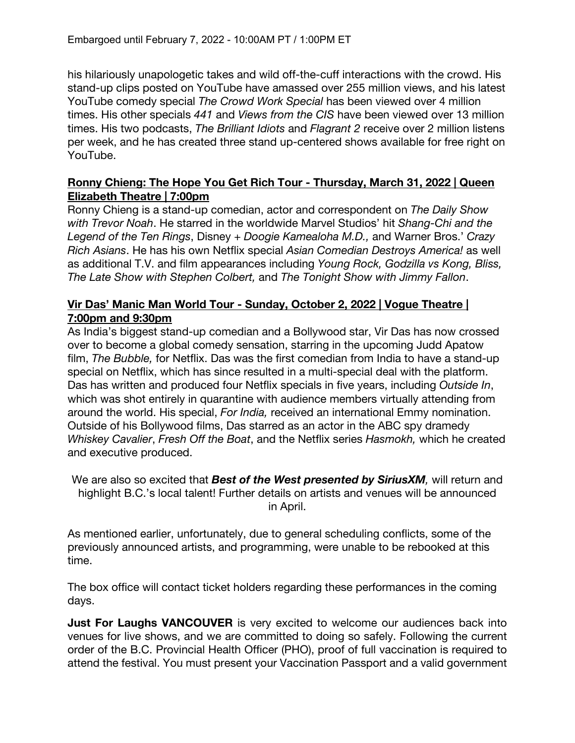his hilariously unapologetic takes and wild off-the-cuff interactions with the crowd. His stand-up clips posted on YouTube have amassed over 255 million views, and his latest YouTube comedy special *The Crowd Work Special* has been viewed over 4 million times. His other specials *441* and *Views from the CIS* have been viewed over 13 million times. His two podcasts, *The Brilliant Idiots* and *Flagrant 2* receive over 2 million listens per week, and he has created three stand up-centered shows available for free right on YouTube.

#### **Ronny Chieng: The Hope You Get Rich Tour - Thursday, March 31, 2022 | Queen Elizabeth Theatre | 7:00pm**

Ronny Chieng is a stand-up comedian, actor and correspondent on *The Daily Show with Trevor Noah*. He starred in the worldwide Marvel Studios' hit *Shang-Chi and the Legend of the Ten Rings*, Disney + *Doogie Kamealoha M.D.,* and Warner Bros.' *Crazy Rich Asians*. He has his own Netflix special *Asian Comedian Destroys America!* as well as additional T.V. and film appearances including *Young Rock, Godzilla vs Kong, Bliss, The Late Show with Stephen Colbert,* and *The Tonight Show with Jimmy Fallon*.

#### **Vir Das' Manic Man World Tour - Sunday, October 2, 2022 | Vogue Theatre | 7:00pm and 9:30pm**

As India's biggest stand-up comedian and a Bollywood star, Vir Das has now crossed over to become a global comedy sensation, starring in the upcoming Judd Apatow film, *The Bubble,* for Netflix. Das was the first comedian from India to have a stand-up special on Netflix, which has since resulted in a multi-special deal with the platform. Das has written and produced four Netflix specials in five years, including *Outside In*, which was shot entirely in quarantine with audience members virtually attending from around the world. His special, *For India,* received an international Emmy nomination. Outside of his Bollywood films, Das starred as an actor in the ABC spy dramedy *Whiskey Cavalier*, *Fresh Off the Boat*, and the Netflix series *Hasmokh,* which he created and executive produced.

We are also so excited that *Best of the West presented by SiriusXM,* will return and highlight B.C.'s local talent! Further details on artists and venues will be announced in April.

As mentioned earlier, unfortunately, due to general scheduling conflicts, some of the previously announced artists, and programming, were unable to be rebooked at this time.

The box office will contact ticket holders regarding these performances in the coming days.

**Just For Laughs VANCOUVER** is very excited to welcome our audiences back into venues for live shows, and we are committed to doing so safely. Following the current order of the B.C. Provincial Health Officer (PHO), proof of full vaccination is required to attend the festival. You must present your Vaccination Passport and a valid government